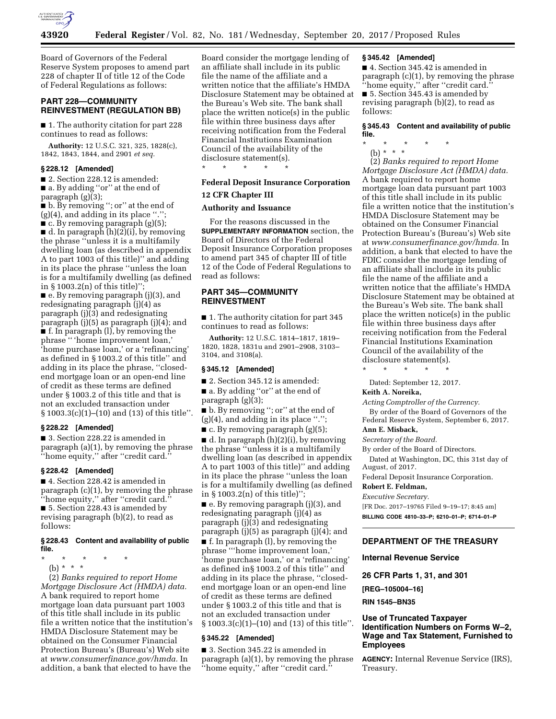

Board of Governors of the Federal Reserve System proposes to amend part 228 of chapter II of title 12 of the Code of Federal Regulations as follows:

# **PART 228—COMMUNITY REINVESTMENT (REGULATION BB)**

■ 1. The authority citation for part 228 continues to read as follows:

**Authority:** 12 U.S.C. 321, 325, 1828(c), 1842, 1843, 1844, and 2901 *et seq.* 

### **§ 228.12 [Amended]**

■ 2. Section 228.12 is amended: ■ a. By adding "or" at the end of paragraph  $(g)(3)$ ;

■ b. By removing ''; or'' at the end of (g)(4), and adding in its place ''.''; ■ c. By removing paragraph (g)(5);  $\blacksquare$  d. In paragraph  $(h)(2)(i)$ , by removing the phrase ''unless it is a multifamily dwelling loan (as described in appendix A to part 1003 of this title)'' and adding in its place the phrase ''unless the loan is for a multifamily dwelling (as defined

in § 1003.2(n) of this title)''; ■ e. By removing paragraph (j)(3), and redesignating paragraph (j)(4) as paragraph (j)(3) and redesignating paragraph (j)(5) as paragraph (j)(4); and ■ f. In paragraph (l), by removing the phrase '' 'home improvement loan,' 'home purchase loan,' or a 'refinancing' as defined in § 1003.2 of this title'' and adding in its place the phrase, ''closedend mortgage loan or an open-end line of credit as these terms are defined under § 1003.2 of this title and that is not an excluded transaction under § 1003.3(c)(1)–(10) and (13) of this title''.

#### **§ 228.22 [Amended]**

■ 3. Section 228.22 is amended in paragraph (a)(1), by removing the phrase ''home equity,'' after ''credit card.''

#### **§ 228.42 [Amended]**

■ 4. Section 228.42 is amended in paragraph (c)(1), by removing the phrase ''home equity,'' after ''credit card.'' ■ 5. Section 228.43 is amended by revising paragraph (b)(2), to read as

follows:

### **§ 228.43 Content and availability of public file.**

- \* \* \* \* \*
	- (b) \* \* \*

(2) *Banks required to report Home Mortgage Disclosure Act (HMDA) data.*  A bank required to report home mortgage loan data pursuant part 1003 of this title shall include in its public file a written notice that the institution's HMDA Disclosure Statement may be obtained on the Consumer Financial Protection Bureau's (Bureau's) Web site at *[www.consumerfinance.gov/hmda.](http://www.consumerfinance.gov/hmda)* In addition, a bank that elected to have the

Board consider the mortgage lending of an affiliate shall include in its public file the name of the affiliate and a written notice that the affiliate's HMDA Disclosure Statement may be obtained at the Bureau's Web site. The bank shall place the written notice(s) in the public file within three business days after receiving notification from the Federal Financial Institutions Examination Council of the availability of the disclosure statement(s).

\* \* \* \* \*

### **Federal Deposit Insurance Corporation**

# **12 CFR Chapter III**

# **Authority and Issuance**

For the reasons discussed in the **SUPPLEMENTARY INFORMATION** section, the Board of Directors of the Federal Deposit Insurance Corporation proposes to amend part 345 of chapter III of title 12 of the Code of Federal Regulations to read as follows:

# **PART 345—COMMUNITY REINVESTMENT**

■ 1. The authority citation for part 345 continues to read as follows:

**Authority:** 12 U.S.C. 1814–1817, 1819– 1820, 1828, 1831u and 2901–2908, 3103– 3104, and 3108(a).

# **§ 345.12 [Amended]**

■ 2. Section 345.12 is amended:

■ a. By adding "or" at the end of paragraph (g)(3);

■ b. By removing "; or" at the end of  $(g)(4)$ , and adding in its place ".";

■ c. By removing paragraph (g)(5);

 $\blacksquare$  d. In paragraph  $(h)(2)(i)$ , by removing the phrase ''unless it is a multifamily dwelling loan (as described in appendix A to part 1003 of this title)'' and adding in its place the phrase ''unless the loan is for a multifamily dwelling (as defined in § 1003.2(n) of this title)'';

■ e. By removing paragraph (j)(3), and redesignating paragraph (j)(4) as paragraph (j)(3) and redesignating paragraph (j)(5) as paragraph (j)(4); and

■ f. In paragraph (l), by removing the phrase '''home improvement loan,' 'home purchase loan,' or a 'refinancing' as defined in§ 1003.2 of this title'' and adding in its place the phrase, ''closedend mortgage loan or an open-end line of credit as these terms are defined under § 1003.2 of this title and that is not an excluded transaction under § 1003.3(c)(1)–(10) and (13) of this title''.

# **§ 345.22 [Amended]**

■ 3. Section 345.22 is amended in paragraph (a)(1), by removing the phrase ''home equity,'' after ''credit card.''

### **§ 345.42 [Amended]**

■ 4. Section 345.42 is amended in paragraph (c)(1), by removing the phrase ''home equity,'' after ''credit card.'' ■ 5. Section 345.43 is amended by revising paragraph (b)(2), to read as follows:

**§ 345.43 Content and availability of public file.** 

- \* \* \* \* \*
	- (b) \* \* \*

(2) *Banks required to report Home Mortgage Disclosure Act (HMDA) data.*  A bank required to report home mortgage loan data pursuant part 1003 of this title shall include in its public file a written notice that the institution's HMDA Disclosure Statement may be obtained on the Consumer Financial Protection Bureau's (Bureau's) Web site at *[www.consumerfinance.gov/hmda.](http://www.consumerfinance.gov/hmda)* In addition, a bank that elected to have the FDIC consider the mortgage lending of an affiliate shall include in its public file the name of the affiliate and a written notice that the affiliate's HMDA Disclosure Statement may be obtained at the Bureau's Web site. The bank shall place the written notice(s) in the public file within three business days after receiving notification from the Federal Financial Institutions Examination Council of the availability of the disclosure statement(s).

\* \* \* \* \*

Dated: September 12, 2017.

# **Keith A. Noreika,**

*Acting Comptroller of the Currency.* 

By order of the Board of Governors of the Federal Reserve System, September 6, 2017.

### **Ann E. Misback,**

*Secretary of the Board.* 

By order of the Board of Directors.

Dated at Washington, DC, this 31st day of August, of 2017.

Federal Deposit Insurance Corporation.

#### **Robert E. Feldman,**

*Executive Secretary.* 

[FR Doc. 2017–19765 Filed 9–19–17; 8:45 am] **BILLING CODE 4810–33–P; 6210–01–P; 6714–01–P** 

### **DEPARTMENT OF THE TREASURY**

**Internal Revenue Service** 

**26 CFR Parts 1, 31, and 301** 

**[REG–105004–16]** 

### **RIN 1545–BN35**

# **Use of Truncated Taxpayer Identification Numbers on Forms W–2, Wage and Tax Statement, Furnished to Employees**

**AGENCY:** Internal Revenue Service (IRS), Treasury.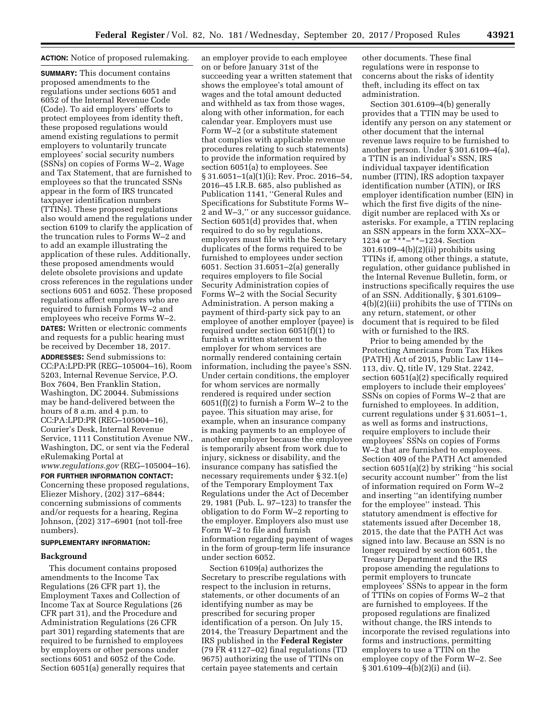# **ACTION:** Notice of proposed rulemaking.

**SUMMARY:** This document contains proposed amendments to the regulations under sections 6051 and 6052 of the Internal Revenue Code (Code). To aid employers' efforts to protect employees from identity theft, these proposed regulations would amend existing regulations to permit employers to voluntarily truncate employees' social security numbers (SSNs) on copies of Forms W–2, Wage and Tax Statement, that are furnished to employees so that the truncated SSNs appear in the form of IRS truncated taxpayer identification numbers (TTINs). These proposed regulations also would amend the regulations under section 6109 to clarify the application of the truncation rules to Forms W–2 and to add an example illustrating the application of these rules. Additionally, these proposed amendments would delete obsolete provisions and update cross references in the regulations under sections 6051 and 6052. These proposed regulations affect employers who are required to furnish Forms W–2 and employees who receive Forms W–2. **DATES:** Written or electronic comments and requests for a public hearing must be received by December 18, 2017.

**ADDRESSES:** Send submissions to: CC:PA:LPD:PR (REG–105004–16), Room 5203, Internal Revenue Service, P.O. Box 7604, Ben Franklin Station, Washington, DC 20044. Submissions may be hand-delivered between the hours of 8 a.m. and 4 p.m. to CC:PA:LPD:PR (REG–105004–16), Courier's Desk, Internal Revenue Service, 1111 Constitution Avenue NW., Washington, DC, or sent via the Federal eRulemaking Portal at *[www.regulations.gov](http://www.regulations.gov)* (REG–105004–16).

**FOR FURTHER INFORMATION CONTACT:**  Concerning these proposed regulations, Eliezer Mishory, (202) 317–6844; concerning submissions of comments and/or requests for a hearing, Regina Johnson, (202) 317–6901 (not toll-free numbers).

### **SUPPLEMENTARY INFORMATION:**

## **Background**

This document contains proposed amendments to the Income Tax Regulations (26 CFR part 1), the Employment Taxes and Collection of Income Tax at Source Regulations (26 CFR part 31), and the Procedure and Administration Regulations (26 CFR part 301) regarding statements that are required to be furnished to employees by employers or other persons under sections 6051 and 6052 of the Code. Section 6051(a) generally requires that

an employer provide to each employee on or before January 31st of the succeeding year a written statement that shows the employee's total amount of wages and the total amount deducted and withheld as tax from those wages, along with other information, for each calendar year. Employers must use Form W–2 (or a substitute statement that complies with applicable revenue procedures relating to such statements) to provide the information required by section 6051(a) to employees. See § 31.6051–1(a)(1)(i); Rev. Proc. 2016–54, 2016–45 I.R.B. 685, also published as Publication 1141, ''General Rules and Specifications for Substitute Forms W– 2 and W–3,'' or any successor guidance. Section 6051(d) provides that, when required to do so by regulations, employers must file with the Secretary duplicates of the forms required to be furnished to employees under section 6051. Section 31.6051–2(a) generally requires employers to file Social Security Administration copies of Forms W–2 with the Social Security Administration. A person making a payment of third-party sick pay to an employee of another employer (payee) is required under section 6051(f)(1) to furnish a written statement to the employer for whom services are normally rendered containing certain information, including the payee's SSN. Under certain conditions, the employer for whom services are normally rendered is required under section 6051(f)(2) to furnish a Form W–2 to the payee. This situation may arise, for example, when an insurance company is making payments to an employee of another employer because the employee is temporarily absent from work due to injury, sickness or disability, and the insurance company has satisfied the necessary requirements under § 32.1(e) of the Temporary Employment Tax Regulations under the Act of December 29, 1981 (Pub. L. 97–123) to transfer the obligation to do Form W–2 reporting to the employer. Employers also must use Form W–2 to file and furnish information regarding payment of wages in the form of group-term life insurance under section 6052.

Section 6109(a) authorizes the Secretary to prescribe regulations with respect to the inclusion in returns, statements, or other documents of an identifying number as may be prescribed for securing proper identification of a person. On July 15, 2014, the Treasury Department and the IRS published in the **Federal Register**  (79 FR 41127–02) final regulations (TD 9675) authorizing the use of TTINs on certain payee statements and certain

other documents. These final regulations were in response to concerns about the risks of identity theft, including its effect on tax administration.

Section 301.6109–4(b) generally provides that a TTIN may be used to identify any person on any statement or other document that the internal revenue laws require to be furnished to another person. Under § 301.6109–4(a), a TTIN is an individual's SSN, IRS individual taxpayer identification number (ITIN), IRS adoption taxpayer identification number (ATIN), or IRS employer identification number (EIN) in which the first five digits of the ninedigit number are replaced with Xs or asterisks. For example, a TTIN replacing an SSN appears in the form XXX–XX– 1234 or \*\*\*–\*\*–1234. Section 301.6109–4(b)(2)(ii) prohibits using TTINs if, among other things, a statute, regulation, other guidance published in the Internal Revenue Bulletin, form, or instructions specifically requires the use of an SSN. Additionally, § 301.6109– 4(b)(2)(iii) prohibits the use of TTINs on any return, statement, or other document that is required to be filed with or furnished to the IRS.

Prior to being amended by the Protecting Americans from Tax Hikes (PATH) Act of 2015, Public Law 114– 113, div. Q, title IV, 129 Stat. 2242, section 6051(a)(2) specifically required employers to include their employees' SSNs on copies of Forms W–2 that are furnished to employees. In addition, current regulations under § 31.6051–1, as well as forms and instructions, require employers to include their employees' SSNs on copies of Forms W–2 that are furnished to employees. Section 409 of the PATH Act amended section 6051(a)(2) by striking ''his social security account number'' from the list of information required on Form W–2 and inserting ''an identifying number for the employee'' instead. This statutory amendment is effective for statements issued after December 18, 2015, the date that the PATH Act was signed into law. Because an SSN is no longer required by section 6051, the Treasury Department and the IRS propose amending the regulations to permit employers to truncate employees' SSNs to appear in the form of TTINs on copies of Forms W–2 that are furnished to employees. If the proposed regulations are finalized without change, the IRS intends to incorporate the revised regulations into forms and instructions, permitting employers to use a TTIN on the employee copy of the Form W–2. See § 301.6109–4(b)(2)(i) and (ii).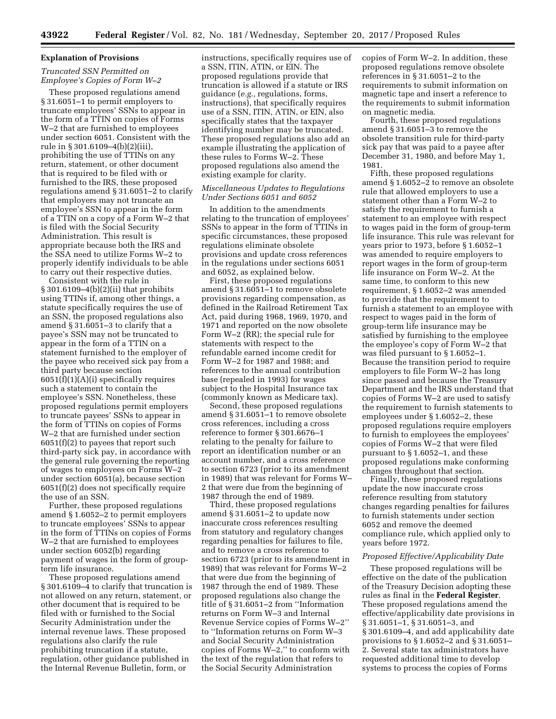### **Explanation of Provisions**

# *Truncated SSN Permitted on Employee's Copies of Form W–2*

These proposed regulations amend § 31.6051–1 to permit employers to truncate employees' SSNs to appear in the form of a TTIN on copies of Forms W–2 that are furnished to employees under section 6051. Consistent with the rule in § 301.6109–4(b)(2)(iii), prohibiting the use of TTINs on any return, statement, or other document that is required to be filed with or furnished to the IRS, these proposed regulations amend § 31.6051–2 to clarify that employers may not truncate an employee's SSN to appear in the form of a TTIN on a copy of a Form W–2 that is filed with the Social Security Administration. This result is appropriate because both the IRS and the SSA need to utilize Forms W–2 to properly identify individuals to be able to carry out their respective duties.

Consistent with the rule in § 301.6109–4(b)(2)(ii) that prohibits using TTINs if, among other things, a statute specifically requires the use of an SSN, the proposed regulations also amend § 31.6051–3 to clarify that a payee's SSN may not be truncated to appear in the form of a TTIN on a statement furnished to the employer of the payee who received sick pay from a third party because section  $6051(f)(1)(A)(i)$  specifically requires such a statement to contain the employee's SSN. Nonetheless, these proposed regulations permit employers to truncate payees' SSNs to appear in the form of TTINs on copies of Forms W–2 that are furnished under section 6051(f)(2) to payees that report such third-party sick pay, in accordance with the general rule governing the reporting of wages to employees on Forms W–2 under section 6051(a), because section 6051(f)(2) does not specifically require the use of an SSN.

Further, these proposed regulations amend § 1.6052–2 to permit employers to truncate employees' SSNs to appear in the form of TTINs on copies of Forms W–2 that are furnished to employees under section 6052(b) regarding payment of wages in the form of groupterm life insurance.

These proposed regulations amend § 301.6109–4 to clarify that truncation is not allowed on any return, statement, or other document that is required to be filed with or furnished to the Social Security Administration under the internal revenue laws. These proposed regulations also clarify the rule prohibiting truncation if a statute, regulation, other guidance published in the Internal Revenue Bulletin, form, or

instructions, specifically requires use of a SSN, ITIN, ATIN, or EIN. The proposed regulations provide that truncation is allowed if a statute or IRS guidance (*e.g.,* regulations, forms, instructions), that specifically requires use of a SSN, ITIN, ATIN, or EIN, also specifically states that the taxpayer identifying number may be truncated. These proposed regulations also add an example illustrating the application of these rules to Forms W–2. These proposed regulations also amend the existing example for clarity.

### *Miscellaneous Updates to Regulations Under Sections 6051 and 6052*

In addition to the amendments relating to the truncation of employees' SSNs to appear in the form of TTINs in specific circumstances, these proposed regulations eliminate obsolete provisions and update cross references in the regulations under sections 6051 and 6052, as explained below.

First, these proposed regulations amend § 31.6051–1 to remove obsolete provisions regarding compensation, as defined in the Railroad Retirement Tax Act, paid during 1968, 1969, 1970, and 1971 and reported on the now obsolete Form W–2 (RR); the special rule for statements with respect to the refundable earned income credit for Form W–2 for 1987 and 1988; and references to the annual contribution base (repealed in 1993) for wages subject to the Hospital Insurance tax (commonly known as Medicare tax).

Second, these proposed regulations amend § 31.6051–1 to remove obsolete cross references, including a cross reference to former § 301.6676–1 relating to the penalty for failure to report an identification number or an account number, and a cross reference to section 6723 (prior to its amendment in 1989) that was relevant for Forms W– 2 that were due from the beginning of 1987 through the end of 1989.

Third, these proposed regulations amend § 31.6051–2 to update now inaccurate cross references resulting from statutory and regulatory changes regarding penalties for failures to file, and to remove a cross reference to section 6723 (prior to its amendment in 1989) that was relevant for Forms W–2 that were due from the beginning of 1987 through the end of 1989. These proposed regulations also change the title of § 31.6051–2 from ''Information returns on Form W–3 and Internal Revenue Service copies of Forms W–2'' to ''Information returns on Form W–3 and Social Security Administration copies of Forms W–2,'' to conform with the text of the regulation that refers to the Social Security Administration

copies of Form W–2. In addition, these proposed regulations remove obsolete references in § 31.6051–2 to the requirements to submit information on magnetic tape and insert a reference to the requirements to submit information on magnetic media.

Fourth, these proposed regulations amend § 31.6051–3 to remove the obsolete transition rule for third-party sick pay that was paid to a payee after December 31, 1980, and before May 1, 1981.

Fifth, these proposed regulations amend § 1.6052–2 to remove an obsolete rule that allowed employers to use a statement other than a Form W–2 to satisfy the requirement to furnish a statement to an employee with respect to wages paid in the form of group-term life insurance. This rule was relevant for years prior to 1973, before § 1.6052–1 was amended to require employers to report wages in the form of group-term life insurance on Form W–2. At the same time, to conform to this new requirement, § 1.6052–2 was amended to provide that the requirement to furnish a statement to an employee with respect to wages paid in the form of group-term life insurance may be satisfied by furnishing to the employee the employee's copy of Form W–2 that was filed pursuant to § 1.6052–1. Because the transition period to require employers to file Form W–2 has long since passed and because the Treasury Department and the IRS understand that copies of Forms W–2 are used to satisfy the requirement to furnish statements to employees under § 1.6052–2, these proposed regulations require employers to furnish to employees the employees' copies of Forms W–2 that were filed pursuant to § 1.6052–1, and these proposed regulations make conforming changes throughout that section.

Finally, these proposed regulations update the now inaccurate cross reference resulting from statutory changes regarding penalties for failures to furnish statements under section 6052 and remove the deemed compliance rule, which applied only to years before 1972.

### *Proposed Effective/Applicability Date*

These proposed regulations will be effective on the date of the publication of the Treasury Decision adopting these rules as final in the **Federal Register**. These proposed regulations amend the effective/applicability date provisions in § 31.6051–1, § 31.6051–3, and § 301.6109–4, and add applicability date provisions to § 1.6052–2 and § 31.6051– 2. Several state tax administrators have requested additional time to develop systems to process the copies of Forms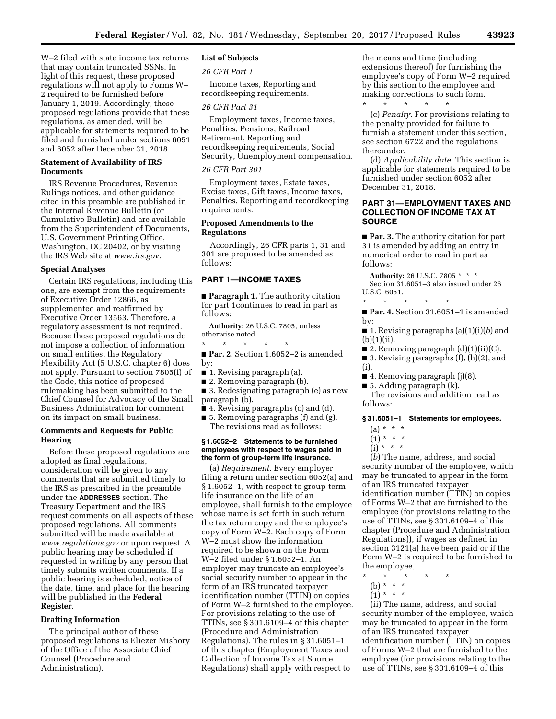W–2 filed with state income tax returns that may contain truncated SSNs. In light of this request, these proposed regulations will not apply to Forms W– 2 required to be furnished before January 1, 2019. Accordingly, these proposed regulations provide that these regulations, as amended, will be applicable for statements required to be filed and furnished under sections 6051 and 6052 after December 31, 2018.

# **Statement of Availability of IRS Documents**

IRS Revenue Procedures, Revenue Rulings notices, and other guidance cited in this preamble are published in the Internal Revenue Bulletin (or Cumulative Bulletin) and are available from the Superintendent of Documents, U.S. Government Printing Office, Washington, DC 20402, or by visiting the IRS Web site at *[www.irs.gov.](http://www.irs.gov)* 

#### **Special Analyses**

Certain IRS regulations, including this one, are exempt from the requirements of Executive Order 12866, as supplemented and reaffirmed by Executive Order 13563. Therefore, a regulatory assessment is not required. Because these proposed regulations do not impose a collection of information on small entities, the Regulatory Flexibility Act (5 U.S.C. chapter 6) does not apply. Pursuant to section 7805(f) of the Code, this notice of proposed rulemaking has been submitted to the Chief Counsel for Advocacy of the Small Business Administration for comment on its impact on small business.

### **Comments and Requests for Public Hearing**

Before these proposed regulations are adopted as final regulations, consideration will be given to any comments that are submitted timely to the IRS as prescribed in the preamble under the **ADDRESSES** section. The Treasury Department and the IRS request comments on all aspects of these proposed regulations. All comments submitted will be made available at *[www.regulations.gov](http://www.regulations.gov)* or upon request. A public hearing may be scheduled if requested in writing by any person that timely submits written comments. If a public hearing is scheduled, notice of the date, time, and place for the hearing will be published in the **Federal Register**.

### **Drafting Information**

The principal author of these proposed regulations is Eliezer Mishory of the Office of the Associate Chief Counsel (Procedure and Administration).

# **List of Subjects**

*26 CFR Part 1* 

Income taxes, Reporting and recordkeeping requirements.

#### *26 CFR Part 31*

Employment taxes, Income taxes, Penalties, Pensions, Railroad Retirement, Reporting and recordkeeping requirements, Social Security, Unemployment compensation.

# *26 CFR Part 301*

Employment taxes, Estate taxes, Excise taxes, Gift taxes, Income taxes, Penalties, Reporting and recordkeeping requirements.

# **Proposed Amendments to the Regulations**

Accordingly, 26 CFR parts 1, 31 and 301 are proposed to be amended as follows:

### **PART 1—INCOME TAXES**

■ **Paragraph 1.** The authority citation for part 1continues to read in part as follows:

**Authority:** 26 U.S.C. 7805, unless otherwise noted.

\* \* \* \* \*

- **Par. 2.** Section 1.6052-2 is amended by:
- 1. Revising paragraph (a).
- 2. Removing paragraph (b).
- 3. Redesignating paragraph (e) as new paragraph (b).
- 4. Revising paragraphs (c) and (d).
- 5. Removing paragraphs (f) and (g). The revisions read as follows:

### **§ 1.6052–2 Statements to be furnished employees with respect to wages paid in the form of group-term life insurance.**

(a) *Requirement.* Every employer filing a return under section 6052(a) and § 1.6052–1, with respect to group-term life insurance on the life of an employee, shall furnish to the employee whose name is set forth in such return the tax return copy and the employee's copy of Form W–2. Each copy of Form W–2 must show the information required to be shown on the Form W–2 filed under § 1.6052–1. An employer may truncate an employee's social security number to appear in the form of an IRS truncated taxpayer identification number (TTIN) on copies of Form W–2 furnished to the employee. For provisions relating to the use of TTINs, see § 301.6109–4 of this chapter (Procedure and Administration Regulations). The rules in § 31.6051–1 of this chapter (Employment Taxes and Collection of Income Tax at Source Regulations) shall apply with respect to

the means and time (including extensions thereof) for furnishing the employee's copy of Form W–2 required by this section to the employee and making corrections to such form. \* \* \* \* \*

(c) *Penalty.* For provisions relating to the penalty provided for failure to furnish a statement under this section, see section 6722 and the regulations thereunder.

(d) *Applicability date.* This section is applicable for statements required to be furnished under section 6052 after December 31, 2018.

# **PART 31—EMPLOYMENT TAXES AND COLLECTION OF INCOME TAX AT SOURCE**

■ **Par. 3.** The authority citation for part 31 is amended by adding an entry in numerical order to read in part as follows:

**Authority:** 26 U.S.C. 7805 \* \* \* Section 31.6051–3 also issued under 26 U.S.C. 6051.

■ **Par. 4.** Section 31.6051–1 is amended by:

■ 1. Revising paragraphs (a)(1)(i)(*b*) and  $(b)(1)(ii)$ .

- 2. Removing paragraph  $(d)(1)(ii)(C)$ .
- 3. Revising paragraphs (f), (h)(2), and (i).
- 4. Removing paragraph (j)(8).
- $\blacksquare$  5. Adding paragraph (k).

\* \* \* \* \*

The revisions and addition read as follows:

### **§ 31.6051–1 Statements for employees.**

- $(a) * * * *$
- $(1) * * * *$
- $(i)$  \* \* \*

(*b*) The name, address, and social security number of the employee, which may be truncated to appear in the form of an IRS truncated taxpayer identification number (TTIN) on copies of Forms W–2 that are furnished to the employee (for provisions relating to the use of TTINs, see § 301.6109–4 of this chapter (Procedure and Administration Regulations)), if wages as defined in section 3121(a) have been paid or if the Form W–2 is required to be furnished to the employee,

- \* \* \* \* \*
	- (b) \* \* \*
	- $(1) * * * *$

(ii) The name, address, and social security number of the employee, which may be truncated to appear in the form of an IRS truncated taxpayer identification number (TTIN) on copies of Forms W–2 that are furnished to the employee (for provisions relating to the use of TTINs, see § 301.6109–4 of this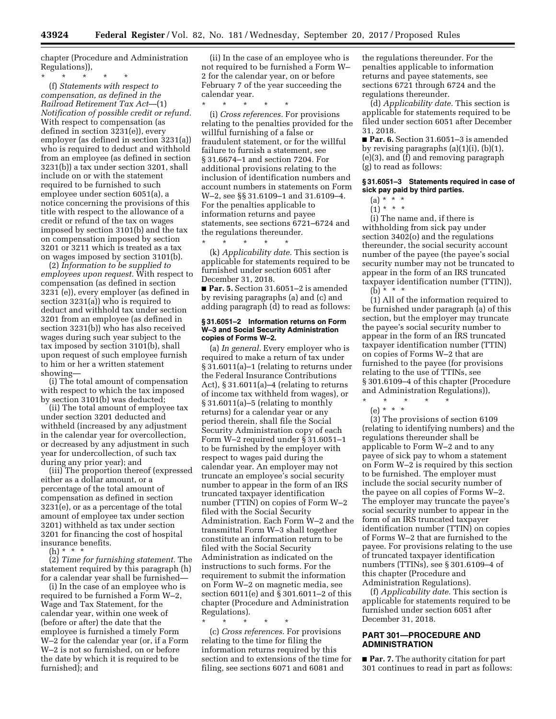chapter (Procedure and Administration Regulations)),

\* \* \* \* \* (f) *Statements with respect to compensation, as defined in the Railroad Retirement Tax Act*—(1) *Notification of possible credit or refund.*  With respect to compensation (as defined in section 3231(e)), every employer (as defined in section 3231(a)) who is required to deduct and withhold from an employee (as defined in section 3231(b)) a tax under section 3201, shall include on or with the statement required to be furnished to such employee under section 6051(a), a notice concerning the provisions of this title with respect to the allowance of a credit or refund of the tax on wages imposed by section 3101(b) and the tax on compensation imposed by section 3201 or 3211 which is treated as a tax on wages imposed by section 3101(b).

(2) *Information to be supplied to employees upon request.* With respect to compensation (as defined in section 3231 (e)), every employer (as defined in section 3231(a)) who is required to deduct and withhold tax under section 3201 from an employee (as defined in section 3231(b)) who has also received wages during such year subject to the tax imposed by section 3101(b), shall upon request of such employee furnish to him or her a written statement showing—

(i) The total amount of compensation with respect to which the tax imposed by section 3101(b) was deducted;

(ii) The total amount of employee tax under section 3201 deducted and withheld (increased by any adjustment in the calendar year for overcollection, or decreased by any adjustment in such year for undercollection, of such tax during any prior year); and

(iii) The proportion thereof (expressed either as a dollar amount, or a percentage of the total amount of compensation as defined in section 3231(e), or as a percentage of the total amount of employee tax under section 3201) withheld as tax under section 3201 for financing the cost of hospital insurance benefits.

 $(h) * *$ 

(2) *Time for furnishing statement.* The statement required by this paragraph (h) for a calendar year shall be furnished—

(i) In the case of an employee who is required to be furnished a Form W–2, Wage and Tax Statement, for the calendar year, within one week of (before or after) the date that the employee is furnished a timely Form W–2 for the calendar year (or, if a Form W–2 is not so furnished, on or before the date by which it is required to be furnished); and

(ii) In the case of an employee who is not required to be furnished a Form W– 2 for the calendar year, on or before February 7 of the year succeeding the calendar year.

\* \* \* \* \*

(i) *Cross references.* For provisions relating to the penalties provided for the willful furnishing of a false or fraudulent statement, or for the willful failure to furnish a statement, see § 31.6674–1 and section 7204. For additional provisions relating to the inclusion of identification numbers and account numbers in statements on Form W–2, see §§ 31.6109–1 and 31.6109–4. For the penalties applicable to information returns and payee statements, see sections 6721–6724 and the regulations thereunder.

\* \* \* \* \* (k) *Applicability date.* This section is applicable for statements required to be furnished under section 6051 after December 31, 2018.

■ **Par. 5.** Section 31.6051-2 is amended by revising paragraphs (a) and (c) and adding paragraph (d) to read as follows:

#### **§ 31.6051–2 Information returns on Form W–3 and Social Security Administration copies of Forms W–2.**

(a) *In general.* Every employer who is required to make a return of tax under § 31.6011(a)–1 (relating to returns under the Federal Insurance Contributions Act), § 31.6011(a)–4 (relating to returns of income tax withheld from wages), or § 31.6011(a)–5 (relating to monthly returns) for a calendar year or any period therein, shall file the Social Security Administration copy of each Form W–2 required under § 31.6051–1 to be furnished by the employer with respect to wages paid during the calendar year. An employer may not truncate an employee's social security number to appear in the form of an IRS truncated taxpayer identification number (TTIN) on copies of Form W–2 filed with the Social Security Administration. Each Form W–2 and the transmittal Form W–3 shall together constitute an information return to be filed with the Social Security Administration as indicated on the instructions to such forms. For the requirement to submit the information on Form W–2 on magnetic media, see section 6011(e) and § 301.6011–2 of this chapter (Procedure and Administration Regulations).

\* \* \* \* \*

(c) *Cross references.* For provisions relating to the time for filing the information returns required by this section and to extensions of the time for filing, see sections 6071 and 6081 and

the regulations thereunder. For the penalties applicable to information returns and payee statements, see sections 6721 through 6724 and the regulations thereunder.

(d) *Applicability date.* This section is applicable for statements required to be filed under section 6051 after December 31, 2018.

■ **Par. 6.** Section 31.6051-3 is amended by revising paragraphs  $(a)(1)(i)$ ,  $(b)(1)$ , (e)(3), and (f) and removing paragraph (g) to read as follows:

#### **§ 31.6051–3 Statements required in case of sick pay paid by third parties.**

 $(1) * * * *$ 

(i) The name and, if there is withholding from sick pay under section 3402(o) and the regulations thereunder, the social security account number of the payee (the payee's social security number may not be truncated to appear in the form of an IRS truncated taxpayer identification number (TTIN)),

 $(b) * * * *$ 

(1) All of the information required to be furnished under paragraph (a) of this section, but the employer may truncate the payee's social security number to appear in the form of an IRS truncated taxpayer identification number (TTIN) on copies of Forms W–2 that are furnished to the payee (for provisions relating to the use of TTINs, see § 301.6109–4 of this chapter (Procedure and Administration Regulations)),

\* \* \* \* \*

(e) \* \* \* (3) The provisions of section 6109 (relating to identifying numbers) and the regulations thereunder shall be applicable to Form W–2 and to any payee of sick pay to whom a statement on Form W–2 is required by this section to be furnished. The employer must include the social security number of the payee on all copies of Forms W–2. The employer may truncate the payee's social security number to appear in the form of an IRS truncated taxpayer identification number (TTIN) on copies of Forms W–2 that are furnished to the payee. For provisions relating to the use of truncated taxpayer identification numbers (TTINs), see § 301.6109–4 of this chapter (Procedure and Administration Regulations).

(f) *Applicability date.* This section is applicable for statements required to be furnished under section 6051 after December 31, 2018.

# **PART 301—PROCEDURE AND ADMINISTRATION**

■ **Par. 7.** The authority citation for part 301 continues to read in part as follows:

<sup>(</sup>a) \* \* \*